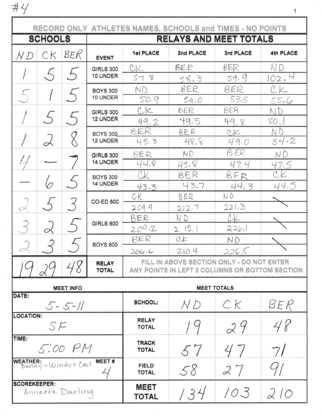$#4$ 

| RECORD ONLY ATHLETES NAMES, SCHOOLS and TIMES - NO POINTS |                |     |                              |                                                                                             |                   |                |                        |
|-----------------------------------------------------------|----------------|-----|------------------------------|---------------------------------------------------------------------------------------------|-------------------|----------------|------------------------|
|                                                           | <b>SCHOOLS</b> |     | RELAYS AND MEET TOTALS       |                                                                                             |                   |                |                        |
| N D                                                       | CK             | BER | <b>EVENT</b>                 | <b>1st PLACE</b>                                                                            | 2nd PLACE         | 3rd PLACE      | 4th PLACE              |
|                                                           |                |     | <b>GIRLS 300</b><br>10 UNDER | C <sub>1</sub>                                                                              | BER.              | $\beta E$      | N D                    |
|                                                           | $\sim$         |     |                              | 578                                                                                         | 58.3              | 59.9           | 102,                   |
|                                                           |                |     | <b>BOYS 300</b>              | $N$ $D$                                                                                     | BER               | BER            |                        |
|                                                           |                |     | 10 UNDER                     | 50.9                                                                                        | 5a.0              | 53.5           | 55.6                   |
|                                                           | $\bigwedge$    |     | <b>GIRLS 300</b><br>12 UNDER | C<                                                                                          | BER               | BER            | ND                     |
|                                                           |                |     |                              | 49.2                                                                                        | 49.5              | 49.8           | SO,                    |
|                                                           |                |     | <b>BOYS 300</b><br>12 UNDER  | BER                                                                                         | BER               | Q <sub>K</sub> | ΝD                     |
|                                                           | $\prec$        |     |                              | 45.3                                                                                        | 48.8              | 49.0           | 54/2                   |
|                                                           |                |     | <b>GIRLS 300</b><br>14 UNDER | BER                                                                                         | ND                | B ER           | ΝD                     |
|                                                           |                |     |                              | 44,8<br>CK                                                                                  | 45,8              | 47.4           | 47.5<br>C <sub>K</sub> |
|                                                           |                |     | <b>BOYS 300</b><br>14 UNDER  |                                                                                             | BER<br>43.7       | BFR<br>44.3    | 44.5                   |
|                                                           |                |     |                              | 43.3<br>CK                                                                                  | BER               | ΝD             |                        |
| $\curvearrowright$                                        |                |     | <b>CO-ED 800</b>             | 209.9                                                                                       | 212,7             | 221.3          |                        |
|                                                           |                |     |                              | BER                                                                                         | N D               | CK             |                        |
|                                                           | $\alpha$       |     | <b>GIRLS 800</b>             | 209.2                                                                                       | 2.15.1            | 2261           |                        |
|                                                           |                |     |                              | RER                                                                                         | $C_{\mathcal{K}}$ | <b>ND</b>      |                        |
| $\subset$                                                 |                |     | <b>BOYS 800</b>              | 206.6                                                                                       | 210.4             | 226.5          |                        |
|                                                           |                |     | <b>RELAY</b><br><b>TOTAL</b> | FILL IN ABOVE SECTION ONLY - DO NOT ENTER<br>ANY POINTS IN LEFT 3 COLUMNS OR BOTTOM SECTION |                   |                |                        |
| <b>MEET TOTALS</b><br><b>MEET INFO</b>                    |                |     |                              |                                                                                             |                   |                |                        |
| DATE:<br>$5 - 5 - 11$                                     |                |     |                              | <b>SCHOOL:</b>                                                                              | N D               | CK             | BER                    |
| <b>LOCATION:</b><br>SF                                    |                |     |                              | <b>RELAY</b><br><b>TOTAL</b>                                                                |                   | 29             | 48                     |
| TIME:<br>5:00 PM                                          |                |     |                              | <b>TRACK</b><br><b>TOTAL</b>                                                                | 57                |                | 7/                     |
| MEET#<br>WEATHER: - Windy + Cool                          |                |     |                              | <b>FIELD</b><br><b>TOTAL</b>                                                                | 58                | 27             |                        |
| <b>SCOREKEEPER:</b><br>Annette Darling                    |                |     |                              | <b>MEET</b><br><b>TOTAL</b>                                                                 | 134               | 103            | 210                    |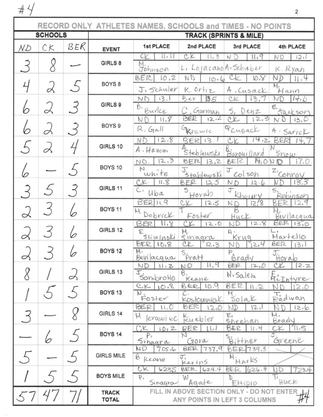|                | RECORD ONLY ATHLETES NAMES, SCHOOLS and TIMES - NO POINTS |          |                                   |                                                                                        |                                 |                              |                                    |
|----------------|-----------------------------------------------------------|----------|-----------------------------------|----------------------------------------------------------------------------------------|---------------------------------|------------------------------|------------------------------------|
| <b>SCHOOLS</b> |                                                           |          | <b>TRACK (SPRINTS &amp; MILE)</b> |                                                                                        |                                 |                              |                                    |
| NД             | CK                                                        | BER      | <b>EVENT</b>                      | 1st PLACE                                                                              | 2nd PLACE                       | 3rd PLACE                    | 4th PLACE                          |
|                |                                                           |          | GIRLS 8                           | 11 i 1                                                                                 | CK<br>$\frac{1}{2}$             | Ń<br>11,9                    | N D<br>121                         |
|                |                                                           |          |                                   | Johnson                                                                                | L, LojacahoA. Schieber          |                              | K. Ryan                            |
|                | "                                                         |          | BOYS <sub>8</sub>                 | BER<br>10,2<br>J, Schuler                                                              | ND<br>10.6<br>K. Ortiz          | 10.8<br>A. Cusack            | ΝD<br>н,                           |
|                |                                                           |          |                                   | 13,1<br>NΓ                                                                             | 35<br>Ber                       | CIC<br>13,1                  | Mann<br>14.6                       |
|                |                                                           | 3        | GIRLS 9                           | B,<br>Burke                                                                            | Gorman                          | S.<br>Denz                   | Ε<br>tacksor                       |
|                |                                                           |          | BOYS <sub>9</sub>                 | 11.8<br>ND                                                                             | <b>BER</b><br>12.12             | ΛV.<br>こっつ                   | 13,0                               |
|                |                                                           |          |                                   | $R, G1$ all                                                                            | Perawic                         | PCugack                      | A · Sarick                         |
|                |                                                           |          | GIRLS 10                          | 12.8<br>ΝD<br>A. Hamm                                                                  | BER<br>13.                      | 14.2                         |                                    |
|                |                                                           |          |                                   | 2,3<br>ND                                                                              | Steblewski<br>BER<br>13,2       | Borouillard<br>$H_1O$<br>BER | $S_{\text{10W}}$<br>7.0            |
|                |                                                           |          | BOYS 10                           | N<br>white                                                                             | J<br>$5$ tablewski              | J.<br>colsoh                 | Z'Cohroy                           |
|                |                                                           |          | GIRLS 11                          | $CK$ .<br>11.8                                                                         | BER<br>IA.5<br>S                | ND<br>12.6<br>J              | 3,3<br>s,                          |
|                |                                                           |          |                                   | $\mathsf{C}$<br>Uba<br>$BER$ $11.9$                                                    | Horan                           | huisty                       | Robinsor                           |
|                | 3                                                         |          | <b>BOYS 11</b>                    | M. Dobrick                                                                             | C<br>12.5                       | 12/8<br>ND                   | 12,9<br>BE                         |
|                |                                                           |          |                                   | 811<br>BER                                                                             | Foster<br>12.0                  | Huck<br>12.8                 | Revilacqua<br>$BER$ $1370$         |
|                |                                                           | (n       | GIRLS 12                          | Sliwinski                                                                              | Η.<br>sinagra                   | $\mathsf{B}$ .<br>Krug       | Martello                           |
|                |                                                           |          | BOYS <sub>12</sub>                | BER 10,8<br>H                                                                          | CŁ<br>12.3                      | 12.4                         | BER<br>13.1                        |
| g              |                                                           |          |                                   | Bevilacqua<br>ND<br>11.2                                                               | $s_{\text{pratt}}$<br>1,9<br>ND | Brady<br>BER.<br>12,0        | Fiorab<br>$c_{\mathcal{K}}$<br>2.2 |
|                |                                                           | $\alpha$ | GIRLS 13                          | T<br>Sambrotto                                                                         | B.<br>Keane                     | N <sub>1</sub> Salem         | FicThtyre                          |
|                |                                                           |          |                                   | CK 10.8                                                                                | BER 10.9                        | BER<br>II.2                  | 12.0                               |
|                |                                                           |          | BOYS <sub>13</sub>                | Ν.<br>Foslev                                                                           | Kosłowniak                      | 501aK                        | Radwan                             |
|                |                                                           |          | GIRLS 14                          | BER.<br>11,0                                                                           | BER<br>12,0                     | JD<br>121<br>E,              | 12.6<br>М,                         |
|                |                                                           |          |                                   | H krawiec<br>1012<br>',K                                                               | Ruebler<br>BER                  | sheehan<br>BER<br>11.4       | Brady<br>71.5                      |
|                |                                                           |          | <b>BOYS 14</b>                    | P,<br>Sinagra                                                                          | Gora                            | Bitther                      | Greene                             |
|                |                                                           |          |                                   | ND<br>7.05.6                                                                           | $BER$ 737,9                     | 7.39.3<br>BER                |                                    |
|                |                                                           |          | <b>GIRLS MILE</b>                 | B. Keane                                                                               | Kerins                          | Marks.                       |                                    |
|                |                                                           |          | <b>BOYS MILE</b>                  | CK<br>6235<br>$P_{\star}$                                                              | BER<br>624.4<br>W               | 626.4<br>BER                 | 23.4<br>IJΟ                        |
|                |                                                           |          |                                   | Sinagra                                                                                | Agate                           | Ettipio                      | Huck                               |
|                |                                                           |          | <b>TRACK</b><br><b>TOTAL</b>      | FILL IN ABOVE SECTION ONLY - DO NOT ENTER<br>$\sharp'$<br>ANY POINTS IN LEFT 3 COLUMNS |                                 |                              |                                    |